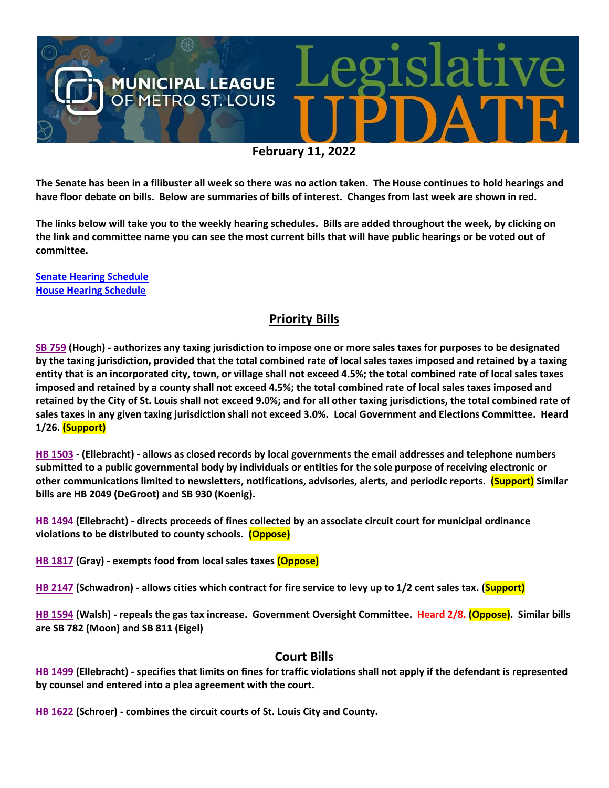

**The Senate has been in a filibuster all week so there was no action taken. The House continues to hold hearings and have floor debate on bills. Below are summaries of bills of interest. Changes from last week are shown in red.**

**The links below will take you to the weekly hearing schedules. Bills are added throughout the week, by clicking on the link and committee name you can see the most current bills that will have public hearings or be voted out of committee.**

**[Senate Hearing Schedule](https://www.senate.mo.gov/hearingsschedule/hrings.htm) [House Hearing Schedule](https://www.house.mo.gov/AllHearings.aspx?sdid=01182022)** 

#### **Priority Bills**

**[SB 759](https://www.senate.mo.gov/22info/BTS_Web/Bill.aspx?SessionType=R&BillID=71259645) (Hough) - authorizes any taxing jurisdiction to impose one or more sales taxes for purposes to be designated by the taxing jurisdiction, provided that the total combined rate of local sales taxes imposed and retained by a taxing entity that is an incorporated city, town, or village shall not exceed 4.5%; the total combined rate of local sales taxes imposed and retained by a county shall not exceed 4.5%; the total combined rate of local sales taxes imposed and retained by the City of St. Louis shall not exceed 9.0%; and for all other taxing jurisdictions, the total combined rate of sales taxes in any given taxing jurisdiction shall not exceed 3.0%. Local Government and Elections Committee. Heard 1/26. (Support)**

**[HB 1503](https://house.mo.gov/Bill.aspx?bill=HB1503&year=2022&code=R) - (Ellebracht) - allows as closed records by local governments the email addresses and telephone numbers submitted to a public governmental body by individuals or entities for the sole purpose of receiving electronic or other communications limited to newsletters, notifications, advisories, alerts, and periodic reports. (Support) Similar bills are HB 2049 (DeGroot) and SB 930 (Koenig).**

**[HB 1494](https://house.mo.gov/Bill.aspx?bill=HB1494&year=2022&code=R) (Ellebracht) - directs proceeds of fines collected by an associate circuit court for municipal ordinance violations to be distributed to county schools. (Oppose)**

**[HB 1817](https://house.mo.gov/Bill.aspx?bill=HB1817&year=2022&code=R) (Gray) - exempts food from local sales taxes (Oppose)**

**[HB 2147](https://house.mo.gov/Bill.aspx?bill=HB2147&year=2022&code=R) (Schwadron) - allows cities which contract for fire service to levy up to 1/2 cent sales tax. (Support)**

**[HB 1594](https://house.mo.gov/Bill.aspx?bill=HB1594&year=2022&code=R) (Walsh) - repeals the gas tax increase. Government Oversight Committee. Heard 2/8. (Oppose). Similar bills are SB 782 (Moon) and SB 811 (Eigel)**

#### **Court Bills**

**[HB 1499](https://house.mo.gov/Bill.aspx?bill=HB1499&year=2022&code=R) (Ellebracht) - specifies that limits on fines for traffic violations shall not apply if the defendant is represented by counsel and entered into a plea agreement with the court.**

**[HB 1622](https://house.mo.gov/Bill.aspx?bill=HB1622&year=2022&code=R) (Schroer) - combines the circuit courts of St. Louis City and County.**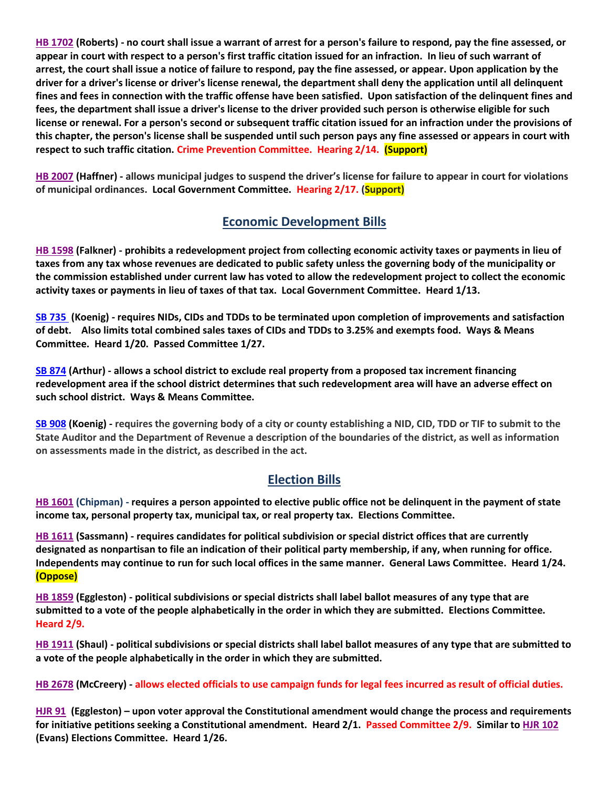**[HB 1702](https://house.mo.gov/Bill.aspx?bill=HB1702&year=2022&code=R) (Roberts) - no court shall issue a warrant of arrest for a person's failure to respond, pay the fine assessed, or appear in court with respect to a person's first traffic citation issued for an infraction. In lieu of such warrant of arrest, the court shall issue a notice of failure to respond, pay the fine assessed, or appear. Upon application by the driver for a driver's license or driver's license renewal, the department shall deny the application until all delinquent fines and fees in connection with the traffic offense have been satisfied. Upon satisfaction of the delinquent fines and fees, the department shall issue a driver's license to the driver provided such person is otherwise eligible for such license or renewal. For a person's second or subsequent traffic citation issued for an infraction under the provisions of this chapter, the person's license shall be suspended until such person pays any fine assessed or appears in court with respect to such traffic citation. Crime Prevention Committee. Hearing 2/14. (Support)** 

**[HB 2007](https://house.mo.gov/Bill.aspx?bill=HB2007&year=2022&code=R) (Haffner) - allows municipal judges to suspend the driver's license for failure to appear in court for violations of municipal ordinances. Local Government Committee. Hearing 2/17. (Support)**

#### **Economic Development Bills**

**[HB 1598](https://house.mo.gov/Bill.aspx?bill=HB1598&year=2022&code=R) (Falkner) - prohibits a redevelopment project from collecting economic activity taxes or payments in lieu of taxes from any tax whose revenues are dedicated to public safety unless the governing body of the municipality or the commission established under current law has voted to allow the redevelopment project to collect the economic activity taxes or payments in lieu of taxes of that tax. Local Government Committee. Heard 1/13.**

**[SB 735](https://www.senate.mo.gov/22info/BTS_Web/Bill.aspx?SessionType=R&BillID=71259902%20%20) (Koenig) - requires NIDs, CIDs and TDDs to be terminated upon completion of improvements and satisfaction of debt. Also limits total combined sales taxes of CIDs and TDDs to 3.25% and exempts food. Ways & Means Committee. Heard 1/20. Passed Committee 1/27.**

**[SB 874](https://www.senate.mo.gov/22info/BTS_Web/Bill.aspx?SessionType=R&BillID=71259609) (Arthur) - allows a school district to exclude real property from a proposed tax increment financing redevelopment area if the school district determines that such redevelopment area will have an adverse effect on such school district. Ways & Means Committee.**

**[SB 908](https://www.senate.mo.gov/22info/BTS_Web/Bill.aspx?SessionType=R&BillID=71259913) (Koenig) - requires the governing body of a city or county establishing a NID, CID, TDD or TIF to submit to the State Auditor and the Department of Revenue a description of the boundaries of the district, as well as information on assessments made in the district, as described in the act.**

## **Election Bills**

**[HB 1601](https://house.mo.gov/Bill.aspx?bill=HB1601&year=2022&code=R) (Chipman) - requires a person appointed to elective public office not be delinquent in the payment of state income tax, personal property tax, municipal tax, or real property tax. Elections Committee.**

**HB [1611](https://house.mo.gov/Bill.aspx?bill=HB1611&year=2022&code=R) (Sassmann) - requires candidates for political subdivision or special district offices that are currently designated as nonpartisan to file an indication of their political party membership, if any, when running for office. Independents may continue to run for such local offices in the same manner. General Laws Committee. Heard 1/24. (Oppose)**

**[HB 1859](https://house.mo.gov/Bill.aspx?bill=HB1859&year=2022&code=R) (Eggleston) - political subdivisions or special districts shall label ballot measures of any type that are submitted to a vote of the people alphabetically in the order in which they are submitted. Elections Committee. Heard 2/9.**

**HB [1911](https://house.mo.gov/Bill.aspx?bill=HB1911&year=2022&code=R) (Shaul) - political subdivisions or special districts shall label ballot measures of any type that are submitted to a vote of the people alphabetically in the order in which they are submitted.**

**[HB 2678](https://www.house.mo.gov/Bill.aspx?bill=HB2678&year=2022&code=R) (McCreery) - allows elected officials to use campaign funds for legal fees incurred as result of official duties.**

**[HJR 91](https://www.house.mo.gov/Bill.aspx?bill=HJR91&year=2022&code=R) [\(Eggleston\)](https://www.house.mo.gov/MemberDetails.aspx?year=2022&district=2) – upon voter approval the Constitutional amendment would change the process and requirements for initiative petitions seeking a Constitutional amendment. Heard 2/1. Passed Committee 2/9. Similar t[o HJR 102](https://www.house.mo.gov/Bill.aspx?bill=HJR102&year=2022&code=R) (Evans) Elections Committee. Heard 1/26.**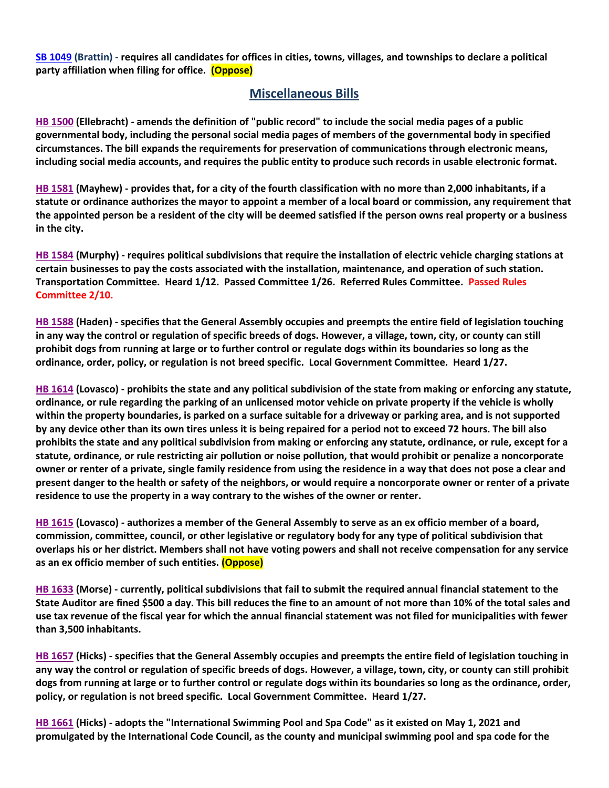**[SB 1049](https://www.senate.mo.gov/22info/BTS_Web/Bill.aspx?SessionType=R&BillID=73129349) (Brattin) - requires all candidates for offices in cities, towns, villages, and townships to declare a political party affiliation when filing for office. (Oppose)**

#### **Miscellaneous Bills**

**[HB 1500](https://house.mo.gov/Bill.aspx?bill=HB1500&year=2022&code=R) (Ellebracht) - amends the definition of "public record" to include the social media pages of a public governmental body, including the personal social media pages of members of the governmental body in specified circumstances. The bill expands the requirements for preservation of communications through electronic means, including social media accounts, and requires the public entity to produce such records in usable electronic format.**

**[HB 1581](https://house.mo.gov/Bill.aspx?bill=HB1581&year=2022&code=R) (Mayhew) - provides that, for a city of the fourth classification with no more than 2,000 inhabitants, if a statute or ordinance authorizes the mayor to appoint a member of a local board or commission, any requirement that the appointed person be a resident of the city will be deemed satisfied if the person owns real property or a business in the city.**

**[HB 1584](https://house.mo.gov/Bill.aspx?bill=HB1584&year=2022&code=R) (Murphy) - requires political subdivisions that require the installation of electric vehicle charging stations at certain businesses to pay the costs associated with the installation, maintenance, and operation of such station. Transportation Committee. Heard 1/12. Passed Committee 1/26. Referred Rules Committee. Passed Rules Committee 2/10.**

**[HB 1588](https://house.mo.gov/Bill.aspx?bill=HB1588&year=2022&code=R) (Haden) - specifies that the General Assembly occupies and preempts the entire field of legislation touching in any way the control or regulation of specific breeds of dogs. However, a village, town, city, or county can still prohibit dogs from running at large or to further control or regulate dogs within its boundaries so long as the ordinance, order, policy, or regulation is not breed specific. Local Government Committee. Heard 1/27.**

**[HB 1614](https://house.mo.gov/Bill.aspx?bill=HB1614&year=2022&code=R) (Lovasco) - prohibits the state and any political subdivision of the state from making or enforcing any statute, ordinance, or rule regarding the parking of an unlicensed motor vehicle on private property if the vehicle is wholly within the property boundaries, is parked on a surface suitable for a driveway or parking area, and is not supported by any device other than its own tires unless it is being repaired for a period not to exceed 72 hours. The bill also prohibits the state and any political subdivision from making or enforcing any statute, ordinance, or rule, except for a statute, ordinance, or rule restricting air pollution or noise pollution, that would prohibit or penalize a noncorporate owner or renter of a private, single family residence from using the residence in a way that does not pose a clear and present danger to the health or safety of the neighbors, or would require a noncorporate owner or renter of a private residence to use the property in a way contrary to the wishes of the owner or renter.**

**[HB 1615](https://house.mo.gov/Bill.aspx?bill=HB1615&year=2022&code=R) (Lovasco) - authorizes a member of the General Assembly to serve as an ex officio member of a board, commission, committee, council, or other legislative or regulatory body for any type of political subdivision that overlaps his or her district. Members shall not have voting powers and shall not receive compensation for any service as an ex officio member of such entities. (Oppose)**

**[HB 1633](https://house.mo.gov/Bill.aspx?bill=HB1633&year=2022&code=R) (Morse) - currently, political subdivisions that fail to submit the required annual financial statement to the State Auditor are fined \$500 a day. This bill reduces the fine to an amount of not more than 10% of the total sales and use tax revenue of the fiscal year for which the annual financial statement was not filed for municipalities with fewer than 3,500 inhabitants.**

**[HB 1657](https://house.mo.gov/Bill.aspx?bill=HB1657&year=2022&code=R) (Hicks) - specifies that the General Assembly occupies and preempts the entire field of legislation touching in any way the control or regulation of specific breeds of dogs. However, a village, town, city, or county can still prohibit dogs from running at large or to further control or regulate dogs within its boundaries so long as the ordinance, order, policy, or regulation is not breed specific. Local Government Committee. Heard 1/27.**

**[HB 1661](https://house.mo.gov/Bill.aspx?bill=HB1661&year=2022&code=R) (Hicks) - adopts the "International Swimming Pool and Spa Code" as it existed on May 1, 2021 and promulgated by the International Code Council, as the county and municipal swimming pool and spa code for the**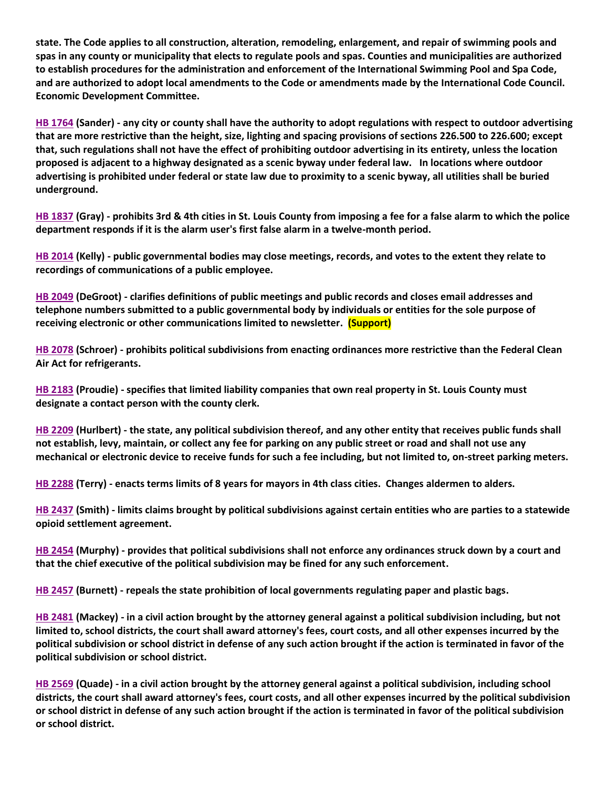**state. The Code applies to all construction, alteration, remodeling, enlargement, and repair of swimming pools and spas in any county or municipality that elects to regulate pools and spas. Counties and municipalities are authorized to establish procedures for the administration and enforcement of the International Swimming Pool and Spa Code, and are authorized to adopt local amendments to the Code or amendments made by the International Code Council. Economic Development Committee.**

**[HB 1764](https://house.mo.gov/Bill.aspx?bill=HB1764&year=2022&code=R) (Sander) - any city or county shall have the authority to adopt regulations with respect to outdoor advertising that are more restrictive than the height, size, lighting and spacing provisions of sections 226.500 to 226.600; except that, such regulations shall not have the effect of prohibiting outdoor advertising in its entirety, unless the location proposed is adjacent to a highway designated as a scenic byway under federal law. In locations where outdoor advertising is prohibited under federal or state law due to proximity to a scenic byway, all utilities shall be buried underground.**

**[HB 1837](https://house.mo.gov/Bill.aspx?bill=HB1837&year=2022&code=R) (Gray) - prohibits 3rd & 4th cities in St. Louis County from imposing a fee for a false alarm to which the police department responds if it is the alarm user's first false alarm in a twelve-month period.**

**[HB 2014](https://house.mo.gov/Bill.aspx?bill=HB2014&year=2022&code=R) (Kelly) - public governmental bodies may close meetings, records, and votes to the extent they relate to recordings of communications of a public employee.**

**[HB 2049](https://house.mo.gov/Bill.aspx?bill=HB2049&year=2022&code=R) (DeGroot) - clarifies definitions of public meetings and public records and closes email addresses and telephone numbers submitted to a public governmental body by individuals or entities for the sole purpose of receiving electronic or other communications limited to newsletter. (Support)**

**[HB 2078](https://www.house.mo.gov/Bill.aspx?bill=HB2078&year=2022&code=R) (Schroer) - prohibits political subdivisions from enacting ordinances more restrictive than the Federal Clean Air Act for refrigerants.**

**[HB 2183](https://house.mo.gov/Bill.aspx?bill=HB2183&year=2022&code=R) (Proudie) - specifies that limited liability companies that own real property in St. Louis County must designate a contact person with the county clerk.**

**[HB 2209](https://house.mo.gov/Bill.aspx?bill=HB2209&year=2022&code=R) (Hurlbert) - the state, any political subdivision thereof, and any other entity that receives public funds shall not establish, levy, maintain, or collect any fee for parking on any public street or road and shall not use any mechanical or electronic device to receive funds for such a fee including, but not limited to, on-street parking meters.**

**[HB 2288](https://www.house.mo.gov/Bill.aspx?bill=HB2288&year=2022&code=R) (Terry) - enacts terms limits of 8 years for mayors in 4th class cities. Changes aldermen to alders.**

**[HB 2437](https://house.mo.gov/Bill.aspx?bill=HB2437&year=2022&code=R) (Smith) - limits claims brought by political subdivisions against certain entities who are parties to a statewide opioid settlement agreement.**

**[HB 2454](https://house.mo.gov/Bill.aspx?bill=HB2454&year=2022&code=R) (Murphy) - provides that political subdivisions shall not enforce any ordinances struck down by a court and that the chief executive of the political subdivision may be fined for any such enforcement.**

**[HB 2457](https://house.mo.gov/Bill.aspx?bill=HB2457&year=2022&code=R) (Burnett) - repeals the state prohibition of local governments regulating paper and plastic bags.**

**[HB 2481](https://house.mo.gov/Bill.aspx?bill=HB2481&year=2022&code=R) (Mackey) - in a civil action brought by the attorney general against a political subdivision including, but not limited to, school districts, the court shall award attorney's fees, court costs, and all other expenses incurred by the political subdivision or school district in defense of any such action brought if the action is terminated in favor of the political subdivision or school district.**

**[HB 2569](https://www.house.mo.gov/Bill.aspx?bill=HB2569&year=2022&code=R) (Quade) - in a civil action brought by the attorney general against a political subdivision, including school districts, the court shall award attorney's fees, court costs, and all other expenses incurred by the political subdivision or school district in defense of any such action brought if the action is terminated in favor of the political subdivision or school district.**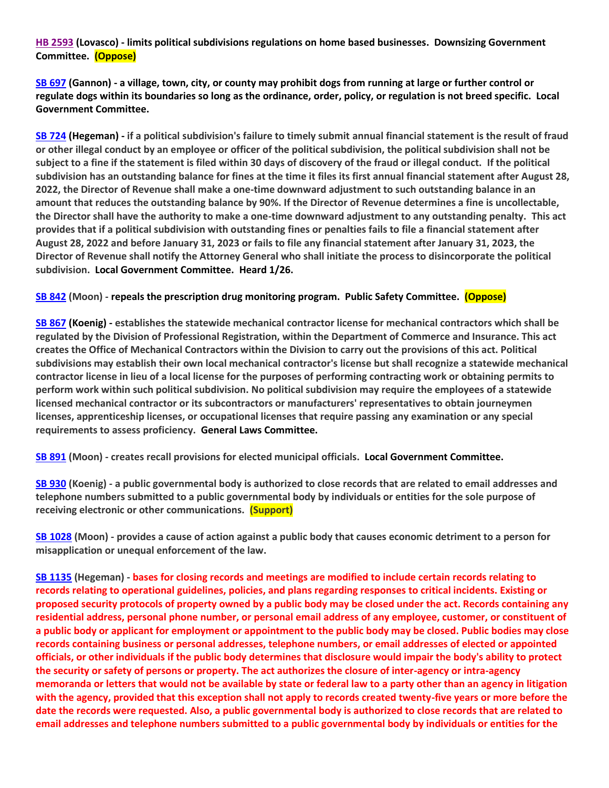**[HB 2593](https://www.house.mo.gov/Bill.aspx?bill=HB2593&year=2022&code=R) (Lovasco) - limits political subdivisions regulations on home based businesses. Downsizing Government Committee. (Oppose)**

**[SB 697](https://www.senate.mo.gov/22info/BTS_Web/Bill.aspx?SessionType=R&BillID=71259741) (Gannon) - a village, town, city, or county may prohibit dogs from running at large or further control or regulate dogs within its boundaries so long as the ordinance, order, policy, or regulation is not breed specific. Local Government Committee.**

**[SB 724](https://www.senate.mo.gov/22info/BTS_Web/Bill.aspx?SessionType=R&BillID=71259818) (Hegeman) - if a political subdivision's failure to timely submit annual financial statement is the result of fraud or other illegal conduct by an employee or officer of the political subdivision, the political subdivision shall not be subject to a fine if the statement is filed within 30 days of discovery of the fraud or illegal conduct. If the political subdivision has an outstanding balance for fines at the time it files its first annual financial statement after August 28, 2022, the Director of Revenue shall make a one-time downward adjustment to such outstanding balance in an amount that reduces the outstanding balance by 90%. If the Director of Revenue determines a fine is uncollectable, the Director shall have the authority to make a one-time downward adjustment to any outstanding penalty. This act provides that if a political subdivision with outstanding fines or penalties fails to file a financial statement after August 28, 2022 and before January 31, 2023 or fails to file any financial statement after January 31, 2023, the Director of Revenue shall notify the Attorney General who shall initiate the process to disincorporate the political subdivision. Local Government Committee. Heard 1/26.**

**[SB 842](https://www.senate.mo.gov/22info/BTS_Web/Bill.aspx?SessionType=R&BillID=71259877) (Moon) - repeals the prescription drug monitoring program. Public Safety Committee. (Oppose)**

**[SB 867](https://www.senate.mo.gov/22info/BTS_Web/Bill.aspx?SessionType=R&BillID=71259909) (Koenig) - establishes the statewide mechanical contractor license for mechanical contractors which shall be regulated by the Division of Professional Registration, within the Department of Commerce and Insurance. This act creates the Office of Mechanical Contractors within the Division to carry out the provisions of this act. Political subdivisions may establish their own local mechanical contractor's license but shall recognize a statewide mechanical contractor license in lieu of a local license for the purposes of performing contracting work or obtaining permits to perform work within such political subdivision. No political subdivision may require the employees of a statewide licensed mechanical contractor or its subcontractors or manufacturers' representatives to obtain journeymen licenses, apprenticeship licenses, or occupational licenses that require passing any examination or any special requirements to assess proficiency. General Laws Committee.**

**[SB 891](https://www.senate.mo.gov/22info/BTS_Web/Bill.aspx?SessionType=R&BillID=71259885) (Moon) - creates recall provisions for elected municipal officials. Local Government Committee.**

**[SB 930](https://www.senate.mo.gov/22info/BTS_Web/Bill.aspx?SessionType=R&BillID=71259916) (Koenig) - a public governmental body is authorized to close records that are related to email addresses and telephone numbers submitted to a public governmental body by individuals or entities for the sole purpose of receiving electronic or other communications. (Support)**

**[SB 1028](https://www.senate.mo.gov/22info/BTS_Web/Bill.aspx?SessionType=R&BillID=72748795) (Moon) - provides a cause of action against a public body that causes economic detriment to a person for misapplication or unequal enforcement of the law.** 

**[SB 1135](https://www.senate.mo.gov/22info/BTS_Web/Bill.aspx?SessionType=R&BillID=75554857) (Hegeman) - bases for closing records and meetings are modified to include certain records relating to records relating to operational guidelines, policies, and plans regarding responses to critical incidents. Existing or proposed security protocols of property owned by a public body may be closed under the act. Records containing any residential address, personal phone number, or personal email address of any employee, customer, or constituent of a public body or applicant for employment or appointment to the public body may be closed. Public bodies may close records containing business or personal addresses, telephone numbers, or email addresses of elected or appointed officials, or other individuals if the public body determines that disclosure would impair the body's ability to protect the security or safety of persons or property. The act authorizes the closure of inter-agency or intra-agency memoranda or letters that would not be available by state or federal law to a party other than an agency in litigation with the agency, provided that this exception shall not apply to records created twenty-five years or more before the date the records were requested. Also, a public governmental body is authorized to close records that are related to email addresses and telephone numbers submitted to a public governmental body by individuals or entities for the**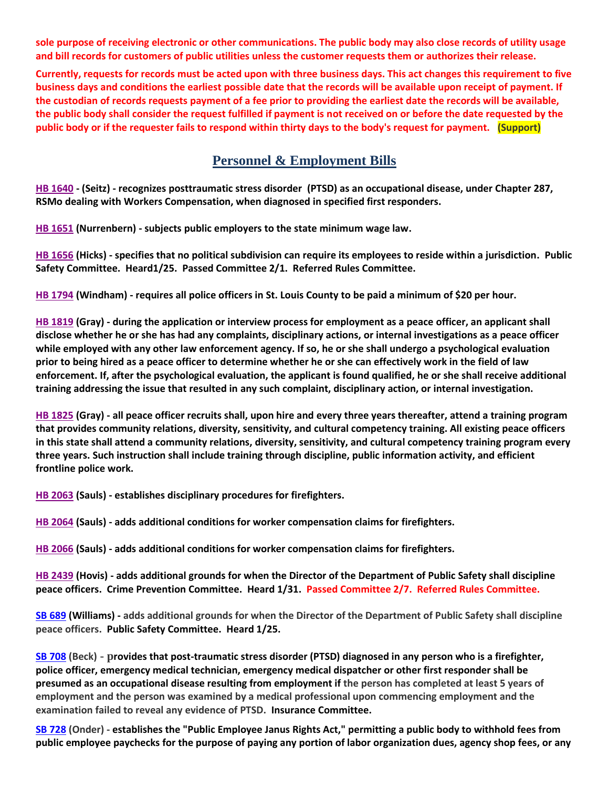**sole purpose of receiving electronic or other communications. The public body may also close records of utility usage and bill records for customers of public utilities unless the customer requests them or authorizes their release.**

**Currently, requests for records must be acted upon with three business days. This act changes this requirement to five business days and conditions the earliest possible date that the records will be available upon receipt of payment. If the custodian of records requests payment of a fee prior to providing the earliest date the records will be available, the public body shall consider the request fulfilled if payment is not received on or before the date requested by the public body or if the requester fails to respond within thirty days to the body's request for payment. (Support)**

## **Personnel & Employment Bills**

**[HB 1640](https://house.mo.gov/Bill.aspx?bill=HB1640&year=2022&code=R) - (Seitz) - recognizes posttraumatic stress disorder (PTSD) as an occupational disease, under Chapter 287, RSMo dealing with Workers Compensation, when diagnosed in specified first responders.**

**[HB 1651](https://house.mo.gov/Bill.aspx?bill=HB1651&year=2022&code=R) (Nurrenbern) - subjects public employers to the state minimum wage law.**

**[HB 1656](https://house.mo.gov/Bill.aspx?bill=HB1656&year=2022&code=R) (Hicks) - specifies that no political subdivision can require its employees to reside within a jurisdiction. Public Safety Committee. Heard1/25. Passed Committee 2/1. Referred Rules Committee.**

**[HB 1794](https://house.mo.gov/Bill.aspx?bill=HB1794&year=2022&code=R) (Windham) - requires all police officers in St. Louis County to be paid a minimum of \$20 per hour.**

**[HB 1819](https://house.mo.gov/Bill.aspx?bill=HB1819&year=2022&code=R) (Gray) - during the application or interview process for employment as a peace officer, an applicant shall disclose whether he or she has had any complaints, disciplinary actions, or internal investigations as a peace officer while employed with any other law enforcement agency. If so, he or she shall undergo a psychological evaluation prior to being hired as a peace officer to determine whether he or she can effectively work in the field of law enforcement. If, after the psychological evaluation, the applicant is found qualified, he or she shall receive additional training addressing the issue that resulted in any such complaint, disciplinary action, or internal investigation.**

**[HB 1825](https://house.mo.gov/Bill.aspx?bill=HB1825&year=2022&code=R) (Gray) - all peace officer recruits shall, upon hire and every three years thereafter, attend a training program that provides community relations, diversity, sensitivity, and cultural competency training. All existing peace officers in this state shall attend a community relations, diversity, sensitivity, and cultural competency training program every three years. Such instruction shall include training through discipline, public information activity, and efficient frontline police work.**

**[HB 2063](https://house.mo.gov/Bill.aspx?bill=HB2063&year=2022&code=R) (Sauls) - establishes disciplinary procedures for firefighters.**

**[HB 2064](https://house.mo.gov/Bill.aspx?bill=HB2064&year=2022&code=R) (Sauls) - adds additional conditions for worker compensation claims for firefighters.** 

**[HB 2066](https://house.mo.gov/Bill.aspx?bill=HB2066&year=2022&code=R) (Sauls) - adds additional conditions for worker compensation claims for firefighters.**

**[HB 2439](https://house.mo.gov/Bill.aspx?bill=HB2439&year=2022&code=R) (Hovis) - adds additional grounds for when the Director of the Department of Public Safety shall discipline peace officers. Crime Prevention Committee. Heard 1/31. Passed Committee 2/7. Referred Rules Committee.**

**[SB 689](https://www.senate.mo.gov/22info/BTS_Web/Bill.aspx?SessionType=R&BillID=71259715) (Williams) - adds additional grounds for when the Director of the Department of Public Safety shall discipline peace officers. Public Safety Committee. Heard 1/25.**

**[SB 708](https://www.senate.mo.gov/22info/BTS_Web/Bill.aspx?SessionType=R&BillID=71259735) (Beck) - provides that post-traumatic stress disorder (PTSD) diagnosed in any person who is a firefighter, police officer, emergency medical technician, emergency medical dispatcher or other first responder shall be presumed as an occupational disease resulting from employment if the person has completed at least 5 years of employment and the person was examined by a medical professional upon commencing employment and the examination failed to reveal any evidence of PTSD. Insurance Committee.**

**[SB 728](https://www.senate.mo.gov/22info/BTS_Web/Bill.aspx?SessionType=R&BillID=71259712) (Onder) - establishes the "Public Employee Janus Rights Act," permitting a public body to withhold fees from public employee paychecks for the purpose of paying any portion of labor organization dues, agency shop fees, or any**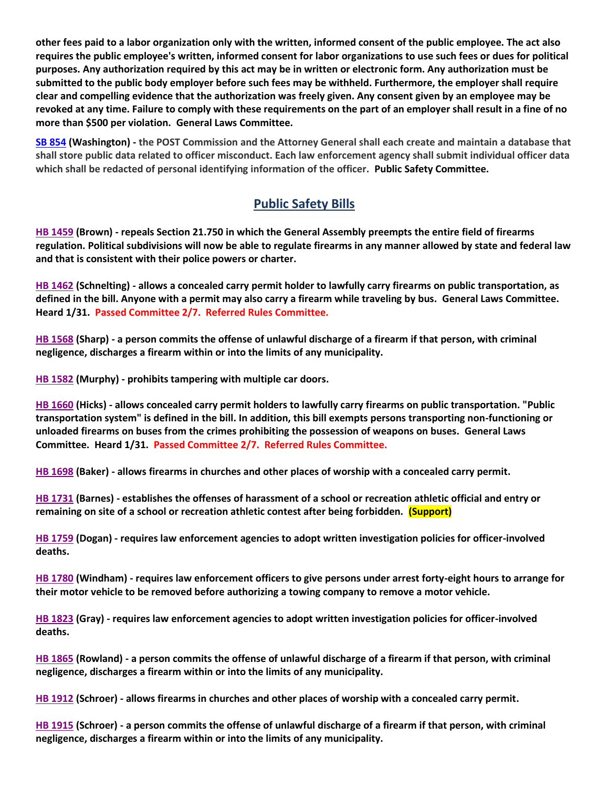**other fees paid to a labor organization only with the written, informed consent of the public employee. The act also requires the public employee's written, informed consent for labor organizations to use such fees or dues for political purposes. Any authorization required by this act may be in written or electronic form. Any authorization must be submitted to the public body employer before such fees may be withheld. Furthermore, the employer shall require clear and compelling evidence that the authorization was freely given. Any consent given by an employee may be revoked at any time. Failure to comply with these requirements on the part of an employer shall result in a fine of no more than \$500 per violation. General Laws Committee.**

**[SB 854](https://www.senate.mo.gov/22info/BTS_Web/Bill.aspx?SessionType=R&BillID=71259653) (Washington) - the POST Commission and the Attorney General shall each create and maintain a database that shall store public data related to officer misconduct. Each law enforcement agency shall submit individual officer data which shall be redacted of personal identifying information of the officer. Public Safety Committee.**

# **Public Safety Bills**

**[HB 1459](https://house.mo.gov/Bill.aspx?bill=HB1459&year=2022&code=R) (Brown) - repeals Section 21.750 in which the General Assembly preempts the entire field of firearms regulation. Political subdivisions will now be able to regulate firearms in any manner allowed by state and federal law and that is consistent with their police powers or charter.**

**[HB 1462](https://house.mo.gov/Bill.aspx?bill=HB1462&year=2022&code=R) (Schnelting) - allows a concealed carry permit holder to lawfully carry firearms on public transportation, as defined in the bill. Anyone with a permit may also carry a firearm while traveling by bus. General Laws Committee. Heard 1/31. Passed Committee 2/7. Referred Rules Committee.**

**[HB 1568](https://house.mo.gov/Bill.aspx?bill=HB1568&year=2022&code=R) (Sharp) - a person commits the offense of unlawful discharge of a firearm if that person, with criminal negligence, discharges a firearm within or into the limits of any municipality.**

**[HB 1582](https://house.mo.gov/Bill.aspx?bill=HB1582&year=2022&code=R) (Murphy) - prohibits tampering with multiple car doors.**

**[HB 1660](https://house.mo.gov/Bill.aspx?bill=HB1660&year=2022&code=R) (Hicks) - allows concealed carry permit holders to lawfully carry firearms on public transportation. "Public transportation system" is defined in the bill. In addition, this bill exempts persons transporting non-functioning or unloaded firearms on buses from the crimes prohibiting the possession of weapons on buses. General Laws Committee. Heard 1/31. Passed Committee 2/7. Referred Rules Committee.**

**[HB 1698](https://house.mo.gov/Bill.aspx?bill=HB1698&year=2022&code=R) (Baker) - allows firearms in churches and other places of worship with a concealed carry permit.**

**[HB 1731](https://house.mo.gov/Bill.aspx?bill=HB1731&year=2022&code=R) (Barnes) - establishes the offenses of harassment of a school or recreation athletic official and entry or remaining on site of a school or recreation athletic contest after being forbidden. (Support)**

**[HB 1759](https://house.mo.gov/Bill.aspx?bill=HB1759&year=2022&code=R) (Dogan) - requires law enforcement agencies to adopt written investigation policies for officer-involved deaths.**

**[HB 1780](https://house.mo.gov/Bill.aspx?bill=HB1780&year=2022&code=R) (Windham) - requires law enforcement officers to give persons under arrest forty-eight hours to arrange for their motor vehicle to be removed before authorizing a towing company to remove a motor vehicle.**

**[HB 1823](https://house.mo.gov/Bill.aspx?bill=HB1823&year=2022&code=R) (Gray) - requires law enforcement agencies to adopt written investigation policies for officer-involved deaths.**

**[HB 1865](https://house.mo.gov/Bill.aspx?bill=HB1865&year=2022&code=R) (Rowland) - a person commits the offense of unlawful discharge of a firearm if that person, with criminal negligence, discharges a firearm within or into the limits of any municipality.**

**[HB 1912](https://house.mo.gov/Bill.aspx?bill=HB1912&year=2022&code=R) (Schroer) - allows firearms in churches and other places of worship with a concealed carry permit.**

**[HB 1915](https://house.mo.gov/Bill.aspx?bill=HB1915&year=2022&code=R) (Schroer) - a person commits the offense of unlawful discharge of a firearm if that person, with criminal negligence, discharges a firearm within or into the limits of any municipality.**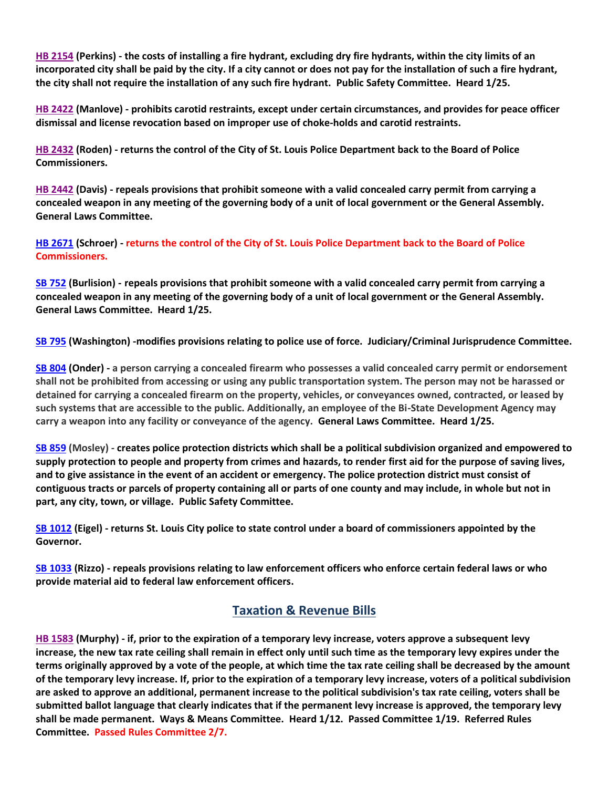**[HB 2154](https://house.mo.gov/Bill.aspx?bill=HB2154&year=2022&code=R) (Perkins) - the costs of installing a fire hydrant, excluding dry fire hydrants, within the city limits of an incorporated city shall be paid by the city. If a city cannot or does not pay for the installation of such a fire hydrant, the city shall not require the installation of any such fire hydrant. Public Safety Committee. Heard 1/25.**

**[HB 2422](https://house.mo.gov/Bill.aspx?bill=HB2422&year=2022&code=R) (Manlove) - prohibits carotid restraints, except under certain circumstances, and provides for peace officer dismissal and license revocation based on improper use of choke-holds and carotid restraints.**

**[HB 2432](https://house.mo.gov/Bill.aspx?bill=HB2432&year=2022&code=R) (Roden) - returns the control of the City of St. Louis Police Department back to the Board of Police Commissioners.**

**[HB 2442](https://www.house.mo.gov/Bill.aspx?bill=HB2442&year=2022&code=R) (Davis) - repeals provisions that prohibit someone with a valid concealed carry permit from carrying a concealed weapon in any meeting of the governing body of a unit of local government or the General Assembly. General Laws Committee.** 

**[HB 2671](https://www.house.mo.gov/Bill.aspx?bill=HB2671&year=2022&code=R) (Schroer) - returns the control of the City of St. Louis Police Department back to the Board of Police Commissioners.**

**[SB 752](https://www.senate.mo.gov/22info/BTS_Web/Bill.aspx?SessionType=R&BillID=71259697) (Burlision) - repeals provisions that prohibit someone with a valid concealed carry permit from carrying a concealed weapon in any meeting of the governing body of a unit of local government or the General Assembly. General Laws Committee. Heard 1/25.**

**[SB 795](https://www.senate.mo.gov/22info/BTS_Web/Bill.aspx?SessionType=R&BillID=71259650) (Washington) -modifies provisions relating to police use of force. Judiciary/Criminal Jurisprudence Committee.**

**[SB 804](https://www.senate.mo.gov/22info/BTS_Web/Bill.aspx?SessionType=R&BillID=71263286) (Onder) - a person carrying a concealed firearm who possesses a valid concealed carry permit or endorsement shall not be prohibited from accessing or using any public transportation system. The person may not be harassed or detained for carrying a concealed firearm on the property, vehicles, or conveyances owned, contracted, or leased by such systems that are accessible to the public. Additionally, an employee of the Bi-State Development Agency may carry a weapon into any facility or conveyance of the agency. General Laws Committee. Heard 1/25.**

**[SB 859](https://www.senate.mo.gov/22info/BTS_Web/Bill.aspx?SessionType=R&BillID=71259622) (Mosley) - creates police protection districts which shall be a political subdivision organized and empowered to supply protection to people and property from crimes and hazards, to render first aid for the purpose of saving lives, and to give assistance in the event of an accident or emergency. The police protection district must consist of contiguous tracts or parcels of property containing all or parts of one county and may include, in whole but not in part, any city, town, or village. Public Safety Committee.**

**[SB 1012](https://www.senate.mo.gov/22info/BTS_Web/Bill.aspx?SessionType=R&BillID=72392417) (Eigel) - returns St. Louis City police to state control under a board of commissioners appointed by the Governor.**

**[SB 1033](https://www.senate.mo.gov/22info/BTS_Web/Bill.aspx?SessionType=R&BillID=72748800) (Rizzo) - repeals provisions relating to law enforcement officers who enforce certain federal laws or who provide material aid to federal law enforcement officers.**

#### **Taxation & Revenue Bills**

**[HB 1583](https://house.mo.gov/Bill.aspx?bill=HB1583&year=2022&code=R) (Murphy) - if, prior to the expiration of a temporary levy increase, voters approve a subsequent levy increase, the new tax rate ceiling shall remain in effect only until such time as the temporary levy expires under the terms originally approved by a vote of the people, at which time the tax rate ceiling shall be decreased by the amount of the temporary levy increase. If, prior to the expiration of a temporary levy increase, voters of a political subdivision are asked to approve an additional, permanent increase to the political subdivision's tax rate ceiling, voters shall be submitted ballot language that clearly indicates that if the permanent levy increase is approved, the temporary levy shall be made permanent. Ways & Means Committee. Heard 1/12. Passed Committee 1/19. Referred Rules Committee. Passed Rules Committee 2/7.**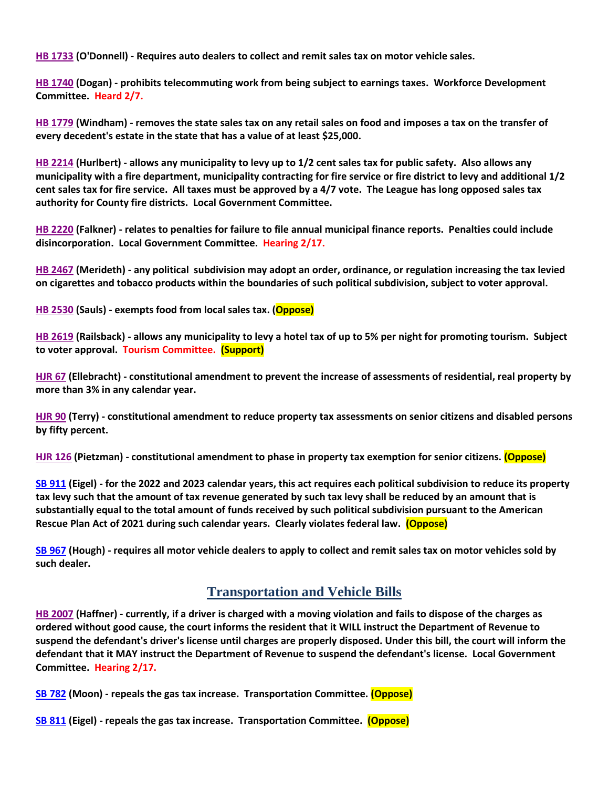**[HB 1733](https://house.mo.gov/Bill.aspx?bill=HB1733&year=2022&code=R) (O'Donnell) - Requires auto dealers to collect and remit sales tax on motor vehicle sales.**

**[HB 1740](https://house.mo.gov/Bill.aspx?bill=HB1740&year=2022&code=R) (Dogan) - prohibits telecommuting work from being subject to earnings taxes. Workforce Development Committee. Heard 2/7.**

**[HB 1779](https://house.mo.gov/Bill.aspx?bill=HB1779&year=2022&code=R) (Windham) - removes the state sales tax on any retail sales on food and imposes a tax on the transfer of every decedent's estate in the state that has a value of at least \$25,000.**

**[HB 2214](https://house.mo.gov/Bill.aspx?bill=HB2214&year=2022&code=R) (Hurlbert) - allows any municipality to levy up to 1/2 cent sales tax for public safety. Also allows any municipality with a fire department, municipality contracting for fire service or fire district to levy and additional 1/2 cent sales tax for fire service. All taxes must be approved by a 4/7 vote. The League has long opposed sales tax authority for County fire districts. Local Government Committee.**

**[HB 2220](https://house.mo.gov/Bill.aspx?bill=HB2220&year=2022&code=R) (Falkner) - relates to penalties for failure to file annual municipal finance reports. Penalties could include disincorporation. Local Government Committee. Hearing 2/17.**

**[HB 2467](https://house.mo.gov/Bill.aspx?bill=HB2467&year=2022&code=R) (Merideth) - any political subdivision may adopt an order, ordinance, or regulation increasing the tax levied on cigarettes and tobacco products within the boundaries of such political subdivision, subject to voter approval.**

**[HB 2530](https://www.house.mo.gov/Bill.aspx?bill=HB2530&year=2022&code=R) (Sauls) - exempts food from local sales tax. (Oppose)**

**[HB 2619](https://www.house.mo.gov/Bill.aspx?bill=HB2619&year=2022&code=R) (Railsback) - allows any municipality to levy a hotel tax of up to 5% per night for promoting tourism. Subject to voter approval. Tourism Committee. (Support)**

**[HJR 67](https://house.mo.gov/Bill.aspx?bill=HJR67&year=2022&code=R) (Ellebracht) - constitutional amendment to prevent the increase of assessments of residential, real property by more than 3% in any calendar year.**

**[HJR 90](https://house.mo.gov/Bill.aspx?bill=HJR90&year=2022&code=R) (Terry) - constitutional amendment to reduce property tax assessments on senior citizens and disabled persons by fifty percent.**

**[HJR 126](https://www.house.mo.gov/Bill.aspx?bill=HJR126&year=2022&code=R) (Pietzman) - constitutional amendment to phase in property tax exemption for senior citizens. (Oppose)**

**[SB 911](https://www.senate.mo.gov/22info/BTS_Web/Bill.aspx?SessionType=R&BillID=71259794) (Eigel) - for the 2022 and 2023 calendar years, this act requires each political subdivision to reduce its property tax levy such that the amount of tax revenue generated by such tax levy shall be reduced by an amount that is substantially equal to the total amount of funds received by such political subdivision pursuant to the American Rescue Plan Act of 2021 during such calendar years. Clearly violates federal law. (Oppose)**

**[SB 967](https://www.senate.mo.gov/22info/BTS_Web/Bill.aspx?SessionType=R&BillID=71406282) (Hough) - requires all motor vehicle dealers to apply to collect and remit sales tax on motor vehicles sold by such dealer.**

## **Transportation and Vehicle Bills**

**[HB 2007](https://house.mo.gov/Bill.aspx?bill=HB2007&year=2022&code=R) (Haffner) - currently, if a driver is charged with a moving violation and fails to dispose of the charges as ordered without good cause, the court informs the resident that it WILL instruct the Department of Revenue to suspend the defendant's driver's license until charges are properly disposed. Under this bill, the court will inform the defendant that it MAY instruct the Department of Revenue to suspend the defendant's license. Local Government Committee. Hearing 2/17.**

**[SB 782](https://www.senate.mo.gov/22info/BTS_Web/Bill.aspx?SessionType=R&BillID=71259873) (Moon) - repeals the gas tax increase. Transportation Committee. (Oppose)**

**[SB 811](https://www.senate.mo.gov/22info/BTS_Web/Bill.aspx?SessionType=R&BillID=71259692) (Eigel) - repeals the gas tax increase. Transportation Committee. (Oppose)**